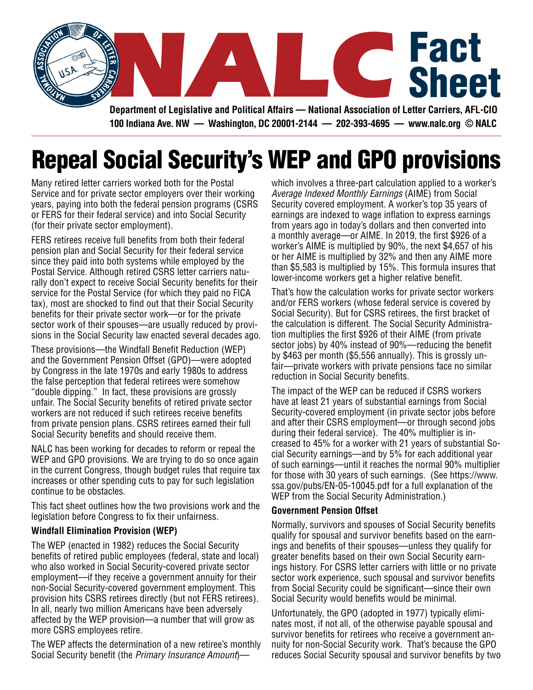

**Department of Legislative and Political Affairs — National Association of Letter Carriers, AFL-CIO 100 Indiana Ave. NW — Washington, DC 20001-2144 — 202-393-4695 — www.nalc.org © NALC**

## Repeal Social Security's WEP and GPO provisions

Many retired letter carriers worked both for the Postal Service and for private sector employers over their working years, paying into both the federal pension programs (CSRS or FERS for their federal service) and into Social Security (for their private sector employment).

FERS retirees receive full benefits from both their federal pension plan and Social Security for their federal service since they paid into both systems while employed by the Postal Service. Although retired CSRS letter carriers naturally don't expect to receive Social Security benefits for their service for the Postal Service (for which they paid no FICA tax), most are shocked to find out that their Social Security benefits for their private sector work—or for the private sector work of their spouses—are usually reduced by provisions in the Social Security law enacted several decades ago.

These provisions—the Windfall Benefit Reduction (WEP) and the Government Pension Offset (GPO)—were adopted by Congress in the late 1970s and early 1980s to address the false perception that federal retirees were somehow "double dipping." In fact, these provisions are grossly unfair. The Social Security benefits of retired private sector workers are not reduced if such retirees receive benefits from private pension plans. CSRS retirees earned their full Social Security benefits and should receive them.

NALC has been working for decades to reform or repeal the WEP and GPO provisions. We are trying to do so once again in the current Congress, though budget rules that require tax increases or other spending cuts to pay for such legislation continue to be obstacles.

This fact sheet outlines how the two provisions work and the legislation before Congress to fix their unfairness.

## **Windfall Elimination Provision (WEP)**

The WEP (enacted in 1982) reduces the Social Security benefits of retired public employees (federal, state and local) who also worked in Social Security-covered private sector employment—if they receive a government annuity for their non-Social Security-covered government employment. This provision hits CSRS retirees directly (but not FERS retirees). In all, nearly two million Americans have been adversely affected by the WEP provision—a number that will grow as more CSRS employees retire.

The WEP affects the determination of a new retiree's monthly Social Security benefit (the *Primary Insurance Amount*)—

which involves a three-part calculation applied to a worker's *Average Indexed Monthly Earnings* (AIME) from Social Security covered employment. A worker's top 35 years of earnings are indexed to wage inflation to express earnings from years ago in today's dollars and then converted into a monthly average—or AIME. In 2019, the first \$926 of a worker's AIME is multiplied by 90%, the next \$4,657 of his or her AIME is multiplied by 32% and then any AIME more than \$5,583 is multiplied by 15%. This formula insures that lower-income workers get a higher relative benefit.

That's how the calculation works for private sector workers and/or FERS workers (whose federal service is covered by Social Security). But for CSRS retirees, the first bracket of the calculation is different. The Social Security Administration multiplies the first \$926 of their AIME (from private sector jobs) by 40% instead of 90%—reducing the benefit by \$463 per month (\$5,556 annually). This is grossly unfair—private workers with private pensions face no similar reduction in Social Security benefits.

The impact of the WEP can be reduced if CSRS workers have at least 21 years of substantial earnings from Social Security-covered employment (in private sector jobs before and after their CSRS employment—or through second jobs during their federal service). The 40% multiplier is increased to 45% for a worker with 21 years of substantial Social Security earnings—and by 5% for each additional year of such earnings—until it reaches the normal 90% multiplier for those with 30 years of such earnings. (See https://www. ssa.gov/pubs/EN-05-10045.pdf for a full explanation of the WEP from the Social Security Administration.)

## **Government Pension Offset**

Normally, survivors and spouses of Social Security benefits qualify for spousal and survivor benefits based on the earnings and benefits of their spouses—unless they qualify for greater benefits based on their own Social Security earnings history. For CSRS letter carriers with little or no private sector work experience, such spousal and survivor benefits from Social Security could be significant—since their own Social Security would benefits would be minimal.

Unfortunately, the GPO (adopted in 1977) typically eliminates most, if not all, of the otherwise payable spousal and survivor benefits for retirees who receive a government annuity for non-Social Security work. That's because the GPO reduces Social Security spousal and survivor benefits by two